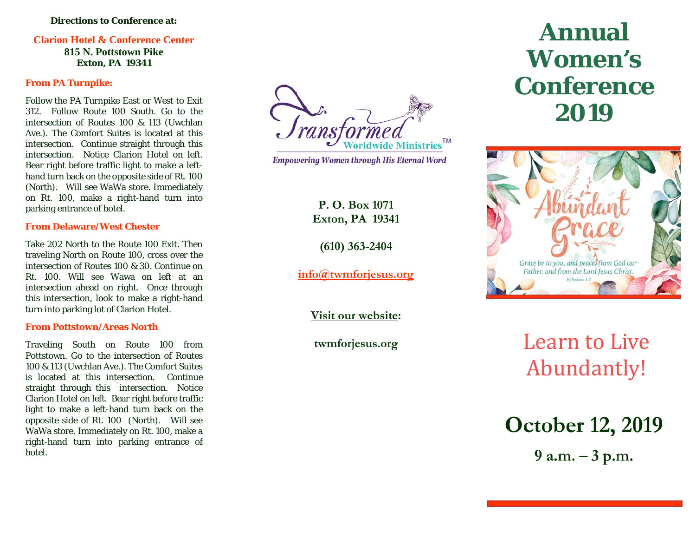#### **Directions to Conference at:**

### **Clarion Hotel & Conference Center**

**815 N. Pottstown Pike Exton, PA 19341**

#### **From PA Turnpike:**

Follow the PA Turnpike East or West to Exit 312. Follow Route 100 South. Go to the intersection of Routes 100 & 113 (Uwchlan Ave.). The Comfort Suites is located at this intersection. Continue straight through this intersection. Notice Clarion Hotel on left. Bear right before traffic light to make a left hand turn back on the opposite side of Rt. 100 (North). Will see WaWa store. Immediately on Rt. 100, make a right -hand turn into parking entrance of hotel .

#### **From Delaware/West Chester**

Take 202 North to the Route 100 Exit. Then traveling North on Route 100, cross over the intersection of Routes 100 & 30. Continue on Rt. 100. Will see Wawa on left at an intersection ahead on right. Once through this intersection, look to make a right -hand turn into parking lot of Clarion Hotel.

#### **From Pottstown/Areas North**

Traveling South on Route 100 from Pottstown. Go to the intersection of Routes 100 & 113 (Uwchlan Ave.). The Comfort Suites is located at this intersection. Continue straight through this intersection. Notice Clarion Hotel on left. Bear right before traffic light to make a left -hand turn back on the opposite side of Rt. 100 (North). Will see WaWa store. Immediately on Rt. 100, make a right -hand turn into parking entrance of hotel.

rans<sub>1</sub> Worldwide Ministries<sup>™</sup>

**Empowering Women through His Eternal Word** 

**P. O. Box 1071 Exton, PA 19341**

**(610) 363 -2404**

**[info@twmforjesus.org](mailto:info@twmforjesus.org)**

**Visit our website :**

**twmforjesus.org** 

# **Annual Women ' s Conference 2019**



# Learn to Live Abundantly!

**October 12, 2019** 

 $9 a.m. - 3 p.m.$